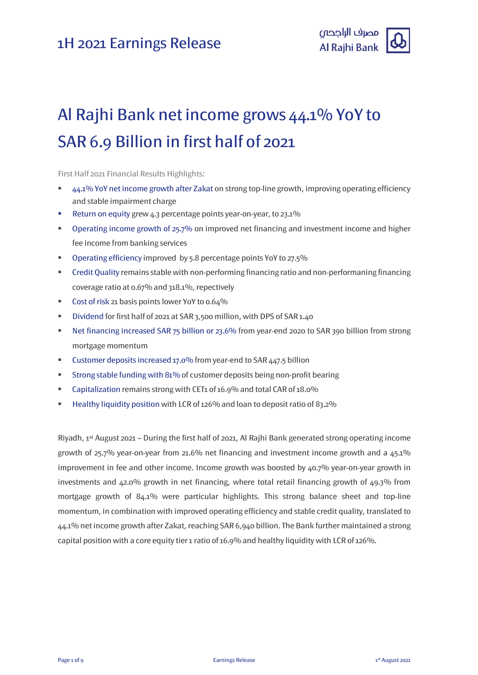

# Al Rajhi Bank net income grows 44.1% YoY to SAR 6.9 Billion in first half of 2021

First Half 2021 Financial Results Highlights:

- 44.1% YoY net income growth after Zakat on strong top-line growth, improving operating efficiency and stable impairment charge
- Return on equity grew 4.3 percentage points year-on-year, to 23.1%
- **•** Operating income growth of 25.7% on improved net financing and investment income and higher fee income from banking services
- Operating efficiency improved by 5.8 percentage points YoY to 27.5%
- Credit Quality remains stable with non-performing financing ratio and non-performaning financing coverage ratio at 0.67% and 318.1%, repectively
- Cost of risk 21 basis points lower YoY to 0.64%
- Dividend for first half of 2021 at SAR 3,500 million, with DPS of SAR 1.40
- Net financing increased SAR 75 billion or 23.6% from year-end 2020 to SAR 390 billion from strong mortgage momentum
- Customer deposits increased 17.0% from year-end to SAR 447.5 billion
- Strong stable funding with 81% of customer deposits being non-profit bearing
- Capitalization remains strong with CET1 of 16.9% and total CAR of 18.0%
- Healthy liquidity position with LCR of 126% and loan to deposit ratio of 83.2%

Riyadh, 1 st August 2021 – During the first half of 2021, Al Rajhi Bank generated strong operating income growth of 25.7% year-on-year from 21.6% net financing and investment income growth and a 45.1% improvement in fee and other income. Income growth was boosted by 40.7% year-on-year growth in investments and 42.0% growth in net financing, where total retail financing growth of 49.3% from mortgage growth of 84.1% were particular highlights. This strong balance sheet and top-line momentum, in combination with improved operating efficiency and stable credit quality, translated to 44.1% net income growth after Zakat, reaching SAR 6,940 billion. The Bank further maintained a strong capital position with a core equity tier 1 ratio of 16.9% and healthy liquidity with LCR of 126%.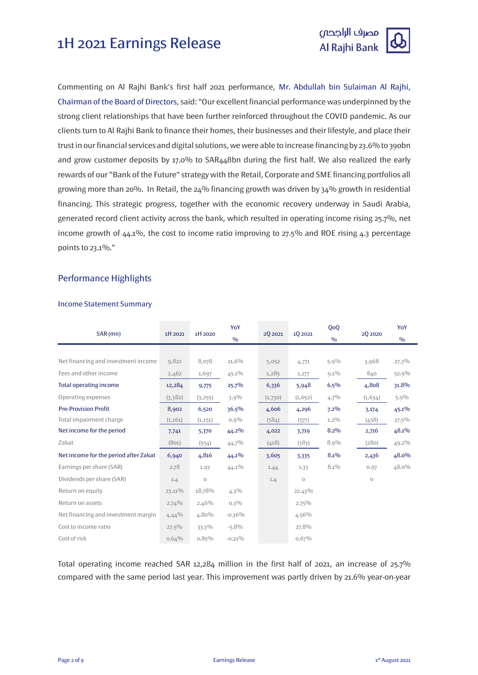

Commenting on Al Rajhi Bank's first half 2021 performance, Mr. Abdullah bin Sulaiman Al Rajhi, Chairman of the Board of Directors, said: "Our excellent financial performance was underpinned by the strong client relationships that have been further reinforced throughout the COVID pandemic. As our clients turn to Al Rajhi Bank to finance their homes, their businesses and their lifestyle, and place their trust in our financial services and digital solutions, we were able to increase financing by 23.6% to 390bn and grow customer deposits by 17.0% to SAR448bn during the first half. We also realized the early rewards of our "Bank of the Future" strategy with the Retail, Corporate and SME financing portfolios all growing more than 20%. In Retail, the 24% financing growth was driven by 34% growth in residential financing. This strategic progress, together with the economic recovery underway in Saudi Arabia, generated record client activity across the bank, which resulted in operating income rising 25.7%, net income growth of 44.1%, the cost to income ratio improving to 27.5% and ROE rising 4.3 percentage points to 23.1%."

### Performance Highlights

#### Income Statement Summary

| SAR (mn)                              | 1H 2021   | 1H 2020     | YoY           |         | 1Q 2021   | QoQ           |          | YoY           |
|---------------------------------------|-----------|-------------|---------------|---------|-----------|---------------|----------|---------------|
|                                       |           |             | $\frac{0}{0}$ | 2Q 2021 |           | $\frac{0}{0}$ | 2Q 2020  | $\frac{0}{0}$ |
|                                       |           |             |               |         |           |               |          |               |
| Net financing and investment income   | 9,822     | 8,078       | $21.6\%$      | 5,052   | 4,771     | $5.9\%$       | 3,968    | $27.3\%$      |
| Fees and other income                 | 2,462     | 1,697       | $45.1\%$      | 1,285   | 1,177     | $9.1\%$       | 840      | $52.9\%$      |
| <b>Total operating income</b>         | 12,284    | 9,775       | 25.7%         | 6,336   | 5,948     | $6.5\%$       | 4,808    | 31.8%         |
| Operating expenses                    | (3,382)   | (3,255)     | $3.9\%$       | (1,730) | (1,652)   | $4.7\%$       | (1, 634) | $5.9\%$       |
| <b>Pre-Provision Profit</b>           | 8,902     | 6,520       | 36.5%         | 4,606   | 4,296     | $7.2\%$       | 3,174    | $45.1\%$      |
| Total impairment charge               | (1,161)   | (1, 151)    | $0.9\%$       | (584)   | (577)     | $1.2\%$       | (458)    | $27.5\%$      |
| Net income for the period             | 7,741     | 5,370       | $44.2\%$      | 4,022   | 3,719     | 8.2%          | 2,716    | 48.1%         |
| Zakat                                 | (801)     | (554)       | $44.7\%$      | (418)   | (383)     | 8.9%          | (280)    | $49.2\%$      |
| Net income for the period after Zakat | 6,940     | 4,816       | $44.1\%$      | 3,605   | 3,335     | 8.1%          | 2,436    | 48.0%         |
| Earnings per share (SAR)              | 2.78      | 1.93        | $44.1\%$      | 1.44    | 1.33      | $8.1\%$       | 0.97     | 48.0%         |
| Dividends per share (SAR)             | 1.4       | $\mathbf 0$ |               | 1.4     | $\circ$   |               | $\circ$  |               |
| Return on equity                      | $23.11\%$ | 18.78%      | $4.3\%$       |         | $22.43\%$ |               |          |               |
| Return on assets                      | 2.74%     | $2.46\%$    | $0.3\%$       |         | $2.75\%$  |               |          |               |
| Net financing and investment margin   | $4.44\%$  | 4.80%       | $-0.36%$      |         | $4.56\%$  |               |          |               |
| Cost to income ratio                  | $27.5\%$  | 33.3%       | $-5.8%$       |         | 27.8%     |               |          |               |
| Cost of risk                          | 0.64%     | $0.85\%$    | $-0.21\%$     |         | 0.67%     |               |          |               |

Total operating income reached SAR 12,284 million in the first half of 2021, an increase of 25.7% compared with the same period last year. This improvement was partly driven by 21.6% year-on-year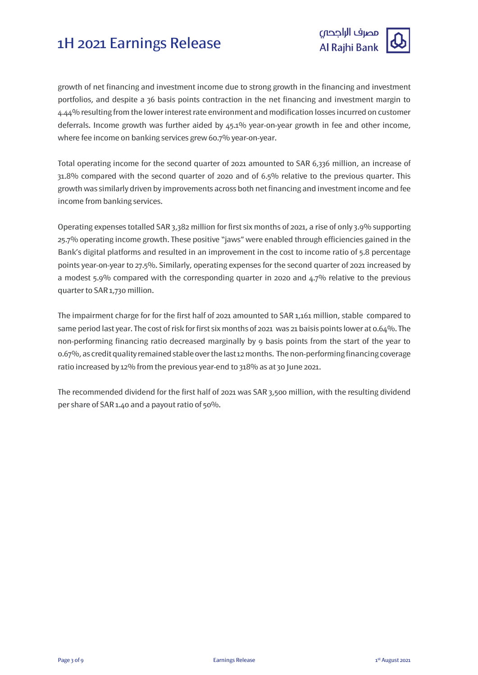

growth of net financing and investment income due to strong growth in the financing and investment portfolios, and despite a 36 basis points contraction in the net financing and investment margin to 4.44% resulting from the lower interest rate environment and modification losses incurred on customer deferrals. Income growth was further aided by 45.1% year-on-year growth in fee and other income, where fee income on banking services grew 60.7% year-on-year.

Total operating income for the second quarter of 2021 amounted to SAR 6,336 million, an increase of 31.8% compared with the second quarter of 2020 and of 6.5% relative to the previous quarter. This growth was similarly driven by improvements across both net financing and investment income and fee income from banking services.

Operating expenses totalled SAR 3,382 million for first six months of 2021, a rise of only 3.9% supporting 25.7% operating income growth. These positive "jaws" were enabled through efficiencies gained in the Bank's digital platforms and resulted in an improvement in the cost to income ratio of 5.8 percentage points year-on-year to 27.5%. Similarly, operating expenses for the second quarter of 2021 increased by a modest 5.9% compared with the corresponding quarter in 2020 and 4.7% relative to the previous quarter to SAR 1,730 million.

The impairment charge for for the first half of 2021 amounted to SAR 1,161 million, stable compared to same period last year. The cost of risk for first six months of 2021 was 21 baisis points lower at 0.64%. The non-performing financing ratio decreased marginally by 9 basis points from the start of the year to 0.67%, as credit quality remained stable over the last 12 months. The non-performing financing coverage ratio increased by 12% from the previous year-end to 318% as at 30 June 2021.

The recommended dividend for the first half of 2021 was SAR 3,500 million, with the resulting dividend per share of SAR 1.40 and a payout ratio of 50%.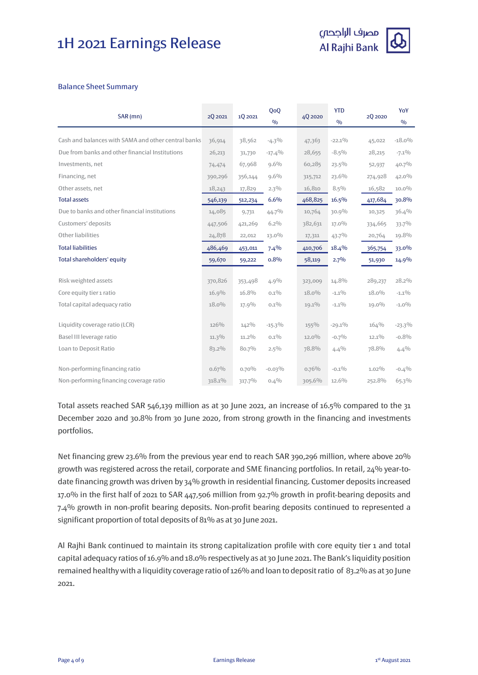

#### Balance Sheet Summary

| SAR (mn)                                            | 2Q 2021  | 10 20 21 | QoQ<br>$\frac{0}{0}$ | 4Q 2020  | <b>YTD</b><br>$\frac{0}{0}$ | 2Q 2020  | YoY<br>$\frac{0}{0}$ |
|-----------------------------------------------------|----------|----------|----------------------|----------|-----------------------------|----------|----------------------|
|                                                     |          |          |                      |          |                             |          |                      |
| Cash and balances with SAMA and other central banks | 36,914   | 38,562   | $-4.3\%$             | 47,363   | $-22.1\%$                   | 45,022   | $-18.0\%$            |
| Due from banks and other financial Institutions     | 26,213   | 31,730   | $-17.4%$             | 28,655   | $-8.5\%$                    | 28,215   | $-7.1\%$             |
| Investments, net                                    | 74,474   | 67,968   | $9.6\%$              | 60,285   | $23.5\%$                    | 52,937   | $40.7\%$             |
| Financing, net                                      | 390,296  | 356,144  | $9.6\%$              | 315,712  | 23.6%                       | 274,928  | 42.0%                |
| Other assets, net                                   | 18,243   | 17,829   | $2.3\%$              | 16,810   | $8.5\%$                     | 16,582   | $10.0\%$             |
| <b>Total assets</b>                                 | 546,139  | 512,234  | 6.6%                 | 468,825  | 16.5%                       | 417,684  | 30.8%                |
| Due to banks and other financial institutions       | 14,085   | 9,731    | $44.7\%$             | 10,764   | 30.9%                       | 10,325   | 36.4%                |
| Customers' deposits                                 | 447,506  | 421,269  | $6.2\%$              | 382,631  | $17.0\%$                    | 334,665  | 33.7%                |
| Other liabilities                                   | 24,878   | 22,012   | 13.0%                | 17,311   | $43.7\%$                    | 20,764   | 19.8%                |
| <b>Total liabilities</b>                            | 486,469  | 453,011  | 7.4%                 | 410,706  | 18.4%                       | 365,754  | 33.0%                |
| Total shareholders' equity                          | 59,670   | 59,222   | 0.8%                 | 58,119   | $2.7\%$                     | 51,930   | $14.9\%$             |
|                                                     |          |          |                      |          |                             |          |                      |
| Risk weighted assets                                | 370,826  | 353,498  | 4.9%                 | 323,009  | 14.8%                       | 289,237  | 28.2%                |
| Core equity tier 1 ratio                            | 16.9%    | 16.8%    | $0.1\%$              | $18.0\%$ | $-1.1\%$                    | $18.0\%$ | $-1.1\%$             |
| Total capital adequacy ratio                        | 18.0%    | 17.9%    | $0.1\%$              | $19.1\%$ | $-1.1\%$                    | 19.0%    | $-1.0\%$             |
| Liquidity coverage ratio (LCR)                      | 126%     | $142\%$  | $-15.3\%$            | $155\%$  | $-29.1\%$                   | 164%     | $-23.3\%$            |
| Basel III leverage ratio                            | $11.3\%$ | $11.2\%$ | $0.1\%$              | $12.0\%$ | $-0.7\%$                    | $12.1\%$ | $-0.8%$              |
| Loan to Deposit Ratio                               | 83.2%    | 80.7%    | $2.5\%$              | 78.8%    | 4.4%                        | 78.8%    | $4.4\%$              |
| Non-performing financing ratio                      | 0.67%    | 0.70%    | $-0.03\%$            | $0.76\%$ | $-0.1\%$                    | $1.02\%$ | $-0.4%$              |
| Non-performing financing coverage ratio             | 318.1%   | 317.7%   | 0.4%                 | 305.6%   | 12.6%                       | 252.8%   | 65.3%                |

Total assets reached SAR 546,139 million as at 30 June 2021, an increase of 16.5% compared to the 31 December 2020 and 30.8% from 30 June 2020, from strong growth in the financing and investments portfolios.

Net financing grew 23.6% from the previous year end to reach SAR 390,296 million, where above 20% growth was registered across the retail, corporate and SME financing portfolios. In retail, 24% year-todate financing growth was driven by 34% growth in residential financing. Customer deposits increased 17.0% in the first half of 2021 to SAR 447,506 million from 92.7% growth in profit-bearing deposits and 7.4% growth in non-profit bearing deposits. Non-profit bearing deposits continued to represented a significant proportion of total deposits of 81% as at 30 June 2021.

Al Rajhi Bank continued to maintain its strong capitalization profile with core equity tier 1 and total capital adequacy ratios of 16.9% and 18.0% respectively as at 30 June 2021. The Bank's liquidity position remained healthy with a liquidity coverage ratio of 126% and loan to deposit ratio of 83.2% as at 30 June 2021.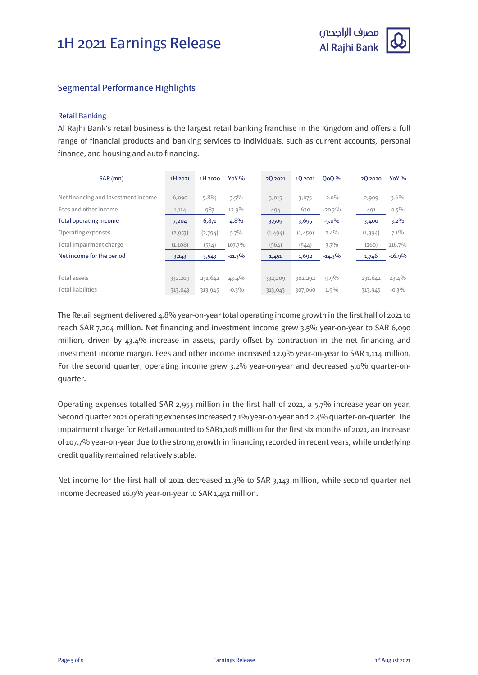

#### Segmental Performance Highlights

#### Retail Banking

Al Rajhi Bank's retail business is the largest retail banking franchise in the Kingdom and offers a full range of financial products and banking services to individuals, such as current accounts, personal finance, and housing and auto financing.

| SAR (mn)                            | 1H 2021 | 1H 2020 | $Y_0Y\%$  | 20 20 21 | 10 2021 | <b>000 %</b> | 20 20 20 | Yo Y $\%$ |
|-------------------------------------|---------|---------|-----------|----------|---------|--------------|----------|-----------|
|                                     |         |         |           |          |         |              |          |           |
| Net financing and investment income | 6,090   | 5,884   | $3.5\%$   | 3,015    | 3,075   | $-2.0\%$     | 2,909    | $3.6\%$   |
| Fees and other income               | 1,114   | 987     | 12.9%     | 494      | 620     | $-20.3\%$    | 491      | $0.5\%$   |
| Total operating income              | 7,204   | 6,871   | 4.8%      | 3,509    | 3,695   | $-5.0\%$     | 3,400    | $3.2\%$   |
| Operating expenses                  | (2,953) | (2,794) | $5.7\%$   | (1,494)  | (1,459) | $2.4\%$      | (1, 394) | $7.1\%$   |
| Total impairment charge             | (1,108) | (534)   | 107.7%    | (564)    | (544)   | $3.7\%$      | (260)    | 116.7%    |
| Net income for the period           | 3,143   | 3,543   | $-11.3\%$ | 1,451    | 1,692   | $-14.3\%$    | 1,746    | $-16.9%$  |
|                                     |         |         |           |          |         |              |          |           |
| Total assets                        | 332,209 | 231,642 | 43.4%     | 332,209  | 302,292 | $9.9\%$      | 231,642  | $43.4\%$  |
| <b>Total liabilities</b>            | 313,043 | 313,945 | $-0.3\%$  | 313,043  | 307,060 | $1.9\%$      | 313,945  | $-0.3\%$  |

The Retail segment delivered 4.8% year-on-year total operating income growth in the first half of 2021 to reach SAR 7,204 million. Net financing and investment income grew 3.5% year-on-year to SAR 6,090 million, driven by 43.4% increase in assets, partly offset by contraction in the net financing and investment income margin. Fees and other income increased 12.9% year-on-year to SAR 1,114 million. For the second quarter, operating income grew 3.2% year-on-year and decreased 5.0% quarter-onquarter.

Operating expenses totalled SAR 2,953 million in the first half of 2021, a 5.7% increase year-on-year. Second quarter 2021 operating expenses increased 7.1% year-on-year and 2.4% quarter-on-quarter. The impairment charge for Retail amounted to SAR1,108 million for the first six months of 2021, an increase of 107.7% year-on-year due to the strong growth in financing recorded in recent years, while underlying credit quality remained relatively stable.

Net income for the first half of 2021 decreased 11.3% to SAR 3,143 million, while second quarter net income decreased 16.9% year-on-year to SAR 1,451 million.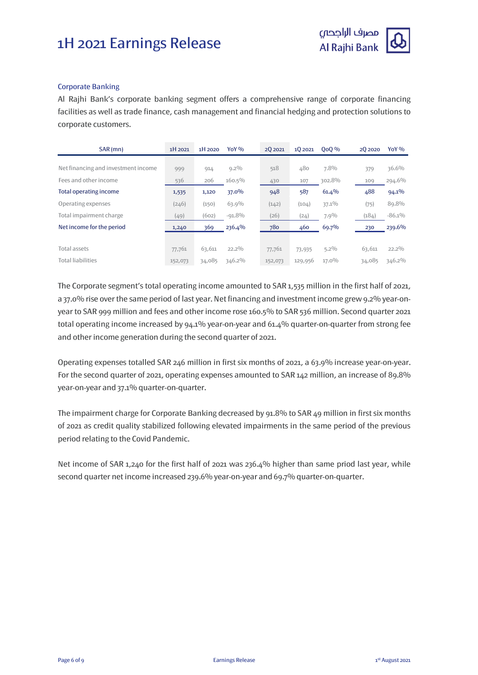

#### Corporate Banking

Al Rajhi Bank's corporate banking segment offers a comprehensive range of corporate financing facilities as well as trade finance, cash management and financial hedging and protection solutions to corporate customers.

| SAR(mn)                             | 1H 2021 | 1H 2020 | $Y_0Y\%$ | 20 20 21 | 10 20 21 | <b>OoO</b> % | 20 20 20 | Yo Y $%$  |
|-------------------------------------|---------|---------|----------|----------|----------|--------------|----------|-----------|
|                                     |         |         |          |          |          |              |          |           |
| Net financing and investment income | 999     | 914     | $9.2\%$  | 518      | 480      | 7.8%         | 379      | 36.6%     |
| Fees and other income               | 536     | 206     | 160.5%   | 430      | 107      | 302.8%       | 109      | 294.6%    |
| Total operating income              | 1,535   | 1,120   | $37.0\%$ | 948      | 587      | 61.4%        | 488      | 94.1%     |
| Operating expenses                  | (246)   | (150)   | 63.9%    | (142)    | (104)    | 37.1%        | (75)     | 89.8%     |
| Total impairment charge             | (49)    | (602)   | $-91.8%$ | (26)     | (24)     | $7.9\%$      | (184)    | $-86.1\%$ |
| Net income for the period           | 1,240   | 369     | 236.4%   | 780      | 460      | 69.7%        | 230      | 239.6%    |
|                                     |         |         |          |          |          |              |          |           |
| Total assets                        | 77,761  | 63,611  | $22.2\%$ | 77,761   | 73,935   | $5.2\%$      | 63,611   | $22.2\%$  |
| <b>Total liabilities</b>            | 152,073 | 34,085  | 346.2%   | 152,073  | 129,956  | $17.0\%$     | 34,085   | 346.2%    |

The Corporate segment's total operating income amounted to SAR 1,535 million in the first half of 2021, a 37.0% rise over the same period of last year. Net financing and investment income grew 9.2% year-onyear to SAR 999 million and fees and other income rose 160.5% to SAR 536 million. Second quarter 2021 total operating income increased by 94.1% year-on-year and 61.4% quarter-on-quarter from strong fee and other income generation during the second quarter of 2021.

Operating expenses totalled SAR 246 million in first six months of 2021, a 63.9% increase year-on-year. For the second quarter of 2021, operating expenses amounted to SAR 142 million, an increase of 89.8% year-on-year and 37.1% quarter-on-quarter.

The impairment charge for Corporate Banking decreased by 91.8% to SAR 49 million in first six months of 2021 as credit quality stabilized following elevated impairments in the same period of the previous period relating to the Covid Pandemic.

Net income of SAR 1,240 for the first half of 2021 was 236.4% higher than same priod last year, while second quarter net income increased 239.6% year-on-year and 69.7% quarter-on-quarter.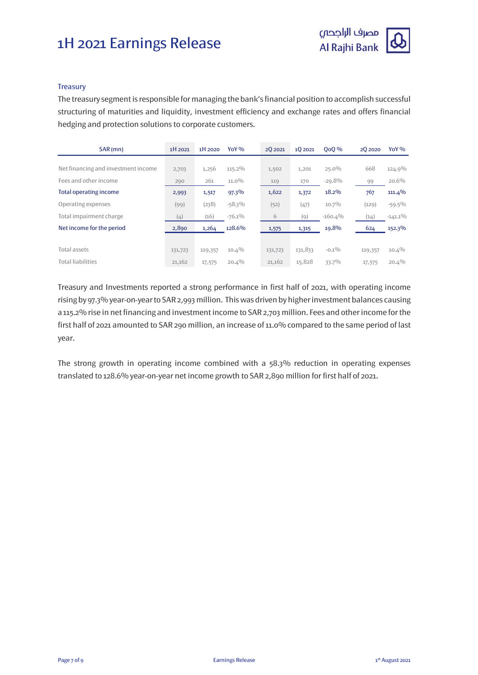

#### **Treasury**

The treasury segment is responsible for managing the bank's financial position to accomplish successful structuring of maturities and liquidity, investment efficiency and exchange rates and offers financial hedging and protection solutions to corporate customers.

| SAR (mn)                            | 1H 2021 | 1H 2020 | $Y_0Y_{0}$ | 20 20 21 | 10 2021 | <b>OoO</b> % | 20 20 20 | YoY $\%$   |
|-------------------------------------|---------|---------|------------|----------|---------|--------------|----------|------------|
|                                     |         |         |            |          |         |              |          |            |
| Net financing and investment income | 2,703   | 1,256   | $115.2\%$  | 1,502    | 1,201   | $25.0\%$     | 668      | 124.9%     |
| Fees and other income               | 290     | 261     | $11.0\%$   | 119      | 170     | $-29.8%$     | 99       | $20.6\%$   |
| Total operating income              | 2,993   | 1,517   | 97.3%      | 1,622    | 1,372   | 18.2%        | 767      | 111.4%     |
| Operating expenses                  | (99)    | (238)   | $-58.3%$   | (52)     | (47)    | 10.7%        | (129)    | $-59.5%$   |
| Total impairment charge             | (4)     | (16)    | $-76.1\%$  | 6        | (9)     | $-160.4%$    | (14)     | $-141.1\%$ |
| Net income for the period           | 2,890   | 1,264   | 128.6%     | 1,575    | 1,315   | 19.8%        | 624      | 152.3%     |
|                                     |         |         |            |          |         |              |          |            |
| Total assets                        | 131,723 | 119,357 | $10.4\%$   | 131,723  | 131,833 | $-0.1\%$     | 119,357  | $10.4\%$   |
| <b>Total liabilities</b>            | 21,162  | 17,575  | 20.4%      | 21,162   | 15,828  | 33.7%        | 17,575   | $20.4\%$   |

Treasury and Investments reported a strong performance in first half of 2021, with operating income rising by 97.3% year-on-year to SAR 2,993 million. This was driven by higher investment balances causing a 115.2% rise in net financing and investment income to SAR 2,703 million. Fees and other income for the first half of 2021 amounted to SAR 290 million, an increase of 11.0% compared to the same period of last year.

The strong growth in operating income combined with a 58.3% reduction in operating expenses translated to 128.6% year-on-year net income growth to SAR 2,890 million for first half of 2021.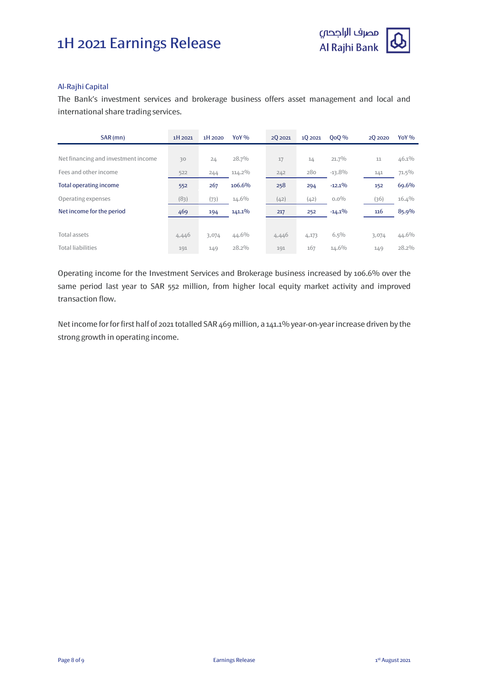

#### Al-Rajhi Capital

The Bank's investment services and brokerage business offers asset management and local and international share trading services.

| SAR (mn)                            | 1H 2021 | 1H 2020 | YoY $\%$  | 20 20 21 | 10 20 21 | <b>OoO</b> % | 20 20 20 | YoY <sub>%</sub> |
|-------------------------------------|---------|---------|-----------|----------|----------|--------------|----------|------------------|
|                                     |         |         |           |          |          |              |          |                  |
| Net financing and investment income | 30      | 24      | $28.7\%$  | 17       | 14       | 21.7%        | 11       | 46.1%            |
| Fees and other income               | 522     | 244     | 114.2%    | 242      | 280      | $-13.8%$     | 141      | $71.5\%$         |
| <b>Total operating income</b>       | 552     | 267     | 106.6%    | 258      | 294      | $-12.1%$     | 152      | 69.6%            |
| Operating expenses                  | (83)    | (73)    | $14.6\%$  | (42)     | (42)     | $0.0\%$      | (36)     | 16.4%            |
| Net income for the period           | 469     | 194     | $141.1\%$ | 217      | 252      | $-14.1\%$    | 116      | 85.9%            |
|                                     |         |         |           |          |          |              |          |                  |
| Total assets                        | 4,446   | 3,074   | $44.6\%$  | 4,446    | 4,173    | $6.5\%$      | 3,074    | 44.6%            |
| <b>Total liabilities</b>            | 191     | 149     | $28.2\%$  | 191      | 167      | 14.6%        | 149      | 28.2%            |

Operating income for the Investment Services and Brokerage business increased by 106.6% over the same period last year to SAR 552 million, from higher local equity market activity and improved transaction flow.

Net income for for first half of 2021 totalled SAR 469 million, a 141.1% year-on-year increase driven by the strong growth in operating income.